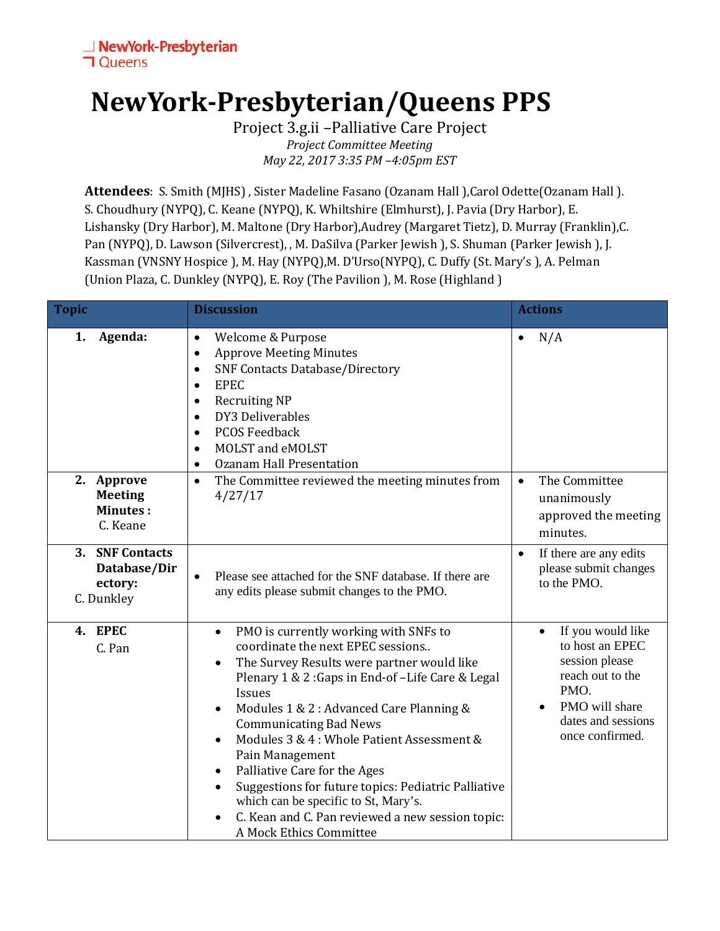## **NewYork-Presbyterian/Queens PPS**

Project 3.g.ii –Palliative Care Project *Project Committee Meeting May 22, 2017 3:35 PM –4:05pm EST*

Attendees: S. Smith (MJHS), Sister Madeline Fasano (Ozanam Hall), Carol Odette(Ozanam Hall). S. Choudhury (NYPQ), C. Keane (NYPQ), K. Whiltshire (Elmhurst), J. Pavia (Dry Harbor), E. Lishansky (Dry Harbor), M. Maltone (Dry Harbor),Audrey (Margaret Tietz), D. Murray (Franklin),C. Pan (NYPQ), D. Lawson (Silvercrest), , M. DaSilva (Parker Jewish ), S. Shuman (Parker Jewish ), J. Kassman (VNSNY Hospice ), M. Hay (NYPQ), M. D'Urso(NYPQ), C. Duffy (St. Mary's ), A. Pelman (Union Plaza, C. Dunkley (NYPQ), E. Roy (The Pavilion ), M. Rose (Highland )

| <b>Topic</b>                                                       | <b>Discussion</b>                                                                                                                                                                                                                                                                                                                                                                                                                                                                                                                                                                                            | <b>Actions</b>                                                                                                                                |
|--------------------------------------------------------------------|--------------------------------------------------------------------------------------------------------------------------------------------------------------------------------------------------------------------------------------------------------------------------------------------------------------------------------------------------------------------------------------------------------------------------------------------------------------------------------------------------------------------------------------------------------------------------------------------------------------|-----------------------------------------------------------------------------------------------------------------------------------------------|
| Agenda:<br>1.                                                      | Welcome & Purpose<br>$\bullet$<br><b>Approve Meeting Minutes</b><br>$\bullet$<br><b>SNF Contacts Database/Directory</b><br>$\bullet$<br><b>EPEC</b><br>$\bullet$<br><b>Recruiting NP</b><br>$\bullet$<br>DY3 Deliverables<br>$\bullet$<br><b>PCOS Feedback</b><br>$\bullet$<br>MOLST and eMOLST<br>$\bullet$<br><b>Ozanam Hall Presentation</b><br>$\bullet$                                                                                                                                                                                                                                                 | N/A<br>$\bullet$                                                                                                                              |
| 2. Approve<br><b>Meeting</b><br><b>Minutes:</b><br>C. Keane        | The Committee reviewed the meeting minutes from<br>$\bullet$<br>4/27/17                                                                                                                                                                                                                                                                                                                                                                                                                                                                                                                                      | The Committee<br>$\bullet$<br>unanimously<br>approved the meeting<br>minutes.                                                                 |
| <b>SNF Contacts</b><br>3.<br>Database/Dir<br>ectory:<br>C. Dunkley | Please see attached for the SNF database. If there are<br>$\bullet$<br>any edits please submit changes to the PMO.                                                                                                                                                                                                                                                                                                                                                                                                                                                                                           | If there are any edits<br>please submit changes<br>to the PMO.                                                                                |
| 4. EPEC<br>C. Pan                                                  | PMO is currently working with SNFs to<br>$\bullet$<br>coordinate the next EPEC sessions<br>The Survey Results were partner would like<br>$\bullet$<br>Plenary 1 & 2: Gaps in End-of-Life Care & Legal<br><b>Issues</b><br>Modules 1 & 2 : Advanced Care Planning &<br>$\bullet$<br><b>Communicating Bad News</b><br>Modules 3 & 4 : Whole Patient Assessment &<br>$\bullet$<br>Pain Management<br>Palliative Care for the Ages<br>Suggestions for future topics: Pediatric Palliative<br>which can be specific to St, Mary's.<br>C. Kean and C. Pan reviewed a new session topic:<br>A Mock Ethics Committee | If you would like<br>to host an EPEC<br>session please<br>reach out to the<br>PMO.<br>PMO will share<br>dates and sessions<br>once confirmed. |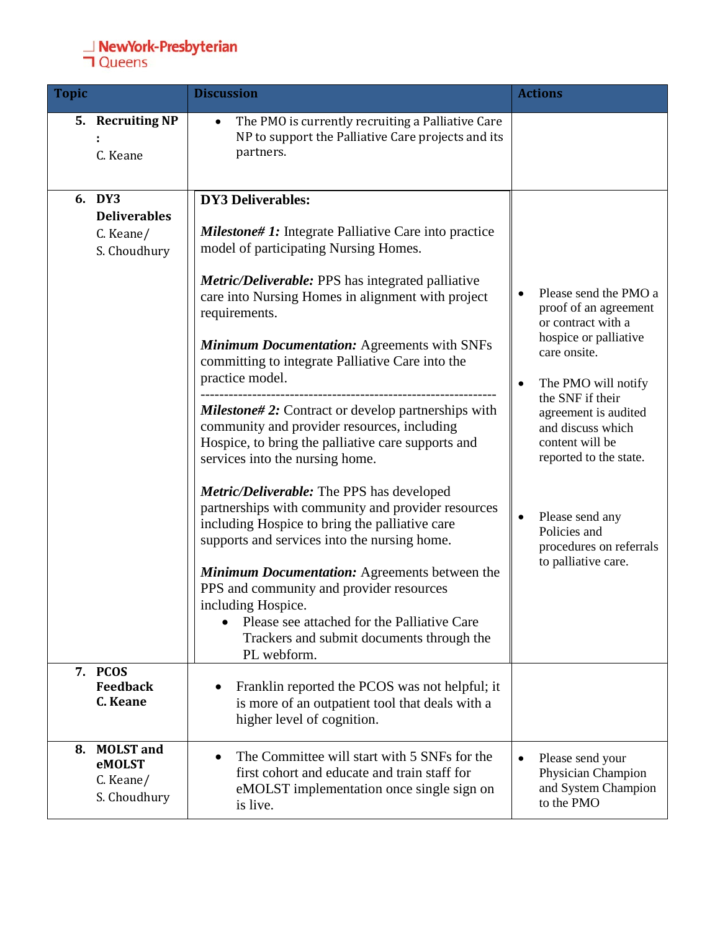## **⊥ NewYork-Presbyterian**<br>**コ** Queens

| <b>Topic</b>                                               | <b>Discussion</b>                                                                                                                                                                                                                                                                                                                                                                                                                                                                                                                                                                                                                                                                                                                                                                                                                                                                                                                                                                                                                                                   | <b>Actions</b>                                                                                                                                                                                                                                                                                                                          |
|------------------------------------------------------------|---------------------------------------------------------------------------------------------------------------------------------------------------------------------------------------------------------------------------------------------------------------------------------------------------------------------------------------------------------------------------------------------------------------------------------------------------------------------------------------------------------------------------------------------------------------------------------------------------------------------------------------------------------------------------------------------------------------------------------------------------------------------------------------------------------------------------------------------------------------------------------------------------------------------------------------------------------------------------------------------------------------------------------------------------------------------|-----------------------------------------------------------------------------------------------------------------------------------------------------------------------------------------------------------------------------------------------------------------------------------------------------------------------------------------|
| 5. Recruiting NP<br>C. Keane                               | The PMO is currently recruiting a Palliative Care<br>$\bullet$<br>NP to support the Palliative Care projects and its<br>partners.                                                                                                                                                                                                                                                                                                                                                                                                                                                                                                                                                                                                                                                                                                                                                                                                                                                                                                                                   |                                                                                                                                                                                                                                                                                                                                         |
| 6. DY3<br><b>Deliverables</b><br>C. Keane/<br>S. Choudhury | <b>DY3 Deliverables:</b><br><b>Milestone# 1:</b> Integrate Palliative Care into practice<br>model of participating Nursing Homes.<br><b>Metric/Deliverable:</b> PPS has integrated palliative<br>care into Nursing Homes in alignment with project<br>requirements.<br><b>Minimum Documentation: Agreements with SNFs</b><br>committing to integrate Palliative Care into the<br>practice model.<br><b>Milestone#2:</b> Contract or develop partnerships with<br>community and provider resources, including<br>Hospice, to bring the palliative care supports and<br>services into the nursing home.<br><b>Metric/Deliverable:</b> The PPS has developed<br>partnerships with community and provider resources<br>including Hospice to bring the palliative care<br>supports and services into the nursing home.<br><b>Minimum Documentation:</b> Agreements between the<br>PPS and community and provider resources<br>including Hospice.<br>Please see attached for the Palliative Care<br>$\bullet$<br>Trackers and submit documents through the<br>PL webform. | Please send the PMO a<br>proof of an agreement<br>or contract with a<br>hospice or palliative<br>care onsite.<br>The PMO will notify<br>the SNF if their<br>agreement is audited<br>and discuss which<br>content will be<br>reported to the state.<br>Please send any<br>Policies and<br>procedures on referrals<br>to palliative care. |
| 7. PCOS<br><b>Feedback</b><br>C. Keane                     | Franklin reported the PCOS was not helpful; it<br>is more of an outpatient tool that deals with a<br>higher level of cognition.                                                                                                                                                                                                                                                                                                                                                                                                                                                                                                                                                                                                                                                                                                                                                                                                                                                                                                                                     |                                                                                                                                                                                                                                                                                                                                         |
| 8. MOLST and<br>eMOLST<br>C. Keane/<br>S. Choudhury        | The Committee will start with 5 SNFs for the<br>first cohort and educate and train staff for<br>eMOLST implementation once single sign on<br>is live.                                                                                                                                                                                                                                                                                                                                                                                                                                                                                                                                                                                                                                                                                                                                                                                                                                                                                                               | Please send your<br>Physician Champion<br>and System Champion<br>to the PMO                                                                                                                                                                                                                                                             |